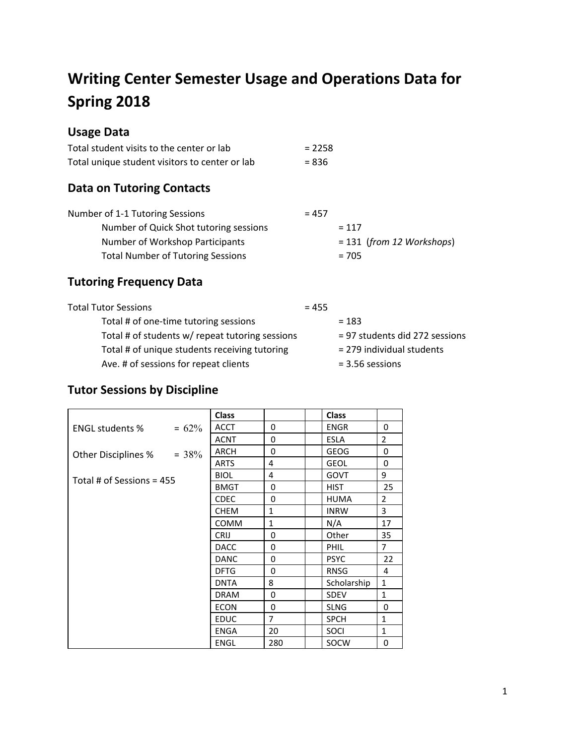# **Writing Center Semester Usage and Operations Data for Spring 2018**

## **Usage Data**

| Total student visits to the center or lab      | $= 2258$ |
|------------------------------------------------|----------|
| Total unique student visitors to center or lab | $= 8.36$ |

## **Data on Tutoring Contacts**

| Number of 1-1 Tutoring Sessions          | $= 457$                     |
|------------------------------------------|-----------------------------|
| Number of Quick Shot tutoring sessions   | $= 117$                     |
| Number of Workshop Participants          | $= 131$ (from 12 Workshops) |
| <b>Total Number of Tutoring Sessions</b> | $= 705$                     |

## **Tutoring Frequency Data**

| <b>Total Tutor Sessions</b>                     | $= 455$ |                                |
|-------------------------------------------------|---------|--------------------------------|
| Total # of one-time tutoring sessions           |         | $= 183$                        |
| Total # of students w/ repeat tutoring sessions |         | = 97 students did 272 sessions |
| Total # of unique students receiving tutoring   |         | $= 279$ individual students    |
| Ave. # of sessions for repeat clients           |         | $= 3.56$ sessions              |

## **Tutor Sessions by Discipline**

|                             | <b>Class</b> |              | <b>Class</b> |                |
|-----------------------------|--------------|--------------|--------------|----------------|
| $= 62\%$<br>ENGL students % | <b>ACCT</b>  | 0            | <b>ENGR</b>  | $\Omega$       |
|                             | <b>ACNT</b>  | 0            | <b>ESLA</b>  | $\overline{2}$ |
| Other Disciplines $% = 38%$ | <b>ARCH</b>  | $\Omega$     | <b>GEOG</b>  | 0              |
|                             | <b>ARTS</b>  | 4            | <b>GEOL</b>  | $\Omega$       |
| Total # of Sessions = $455$ | <b>BIOL</b>  | 4            | <b>GOVT</b>  | 9              |
|                             | <b>BMGT</b>  | 0            | <b>HIST</b>  | 25             |
|                             | <b>CDEC</b>  | $\Omega$     | <b>HUMA</b>  | $\overline{2}$ |
|                             | <b>CHEM</b>  | $\mathbf{1}$ | <b>INRW</b>  | 3              |
|                             | <b>COMM</b>  | $\mathbf{1}$ | N/A          | 17             |
|                             | <b>CRIJ</b>  | 0            | Other        | 35             |
|                             | <b>DACC</b>  | 0            | PHIL         | $\overline{7}$ |
|                             | <b>DANC</b>  | 0            | <b>PSYC</b>  | 22             |
|                             | <b>DFTG</b>  | 0            | <b>RNSG</b>  | 4              |
|                             | <b>DNTA</b>  | 8            | Scholarship  | $\mathbf{1}$   |
|                             | <b>DRAM</b>  | $\Omega$     | <b>SDEV</b>  | $\mathbf{1}$   |
|                             | <b>ECON</b>  | 0            | <b>SLNG</b>  | $\Omega$       |
|                             | <b>EDUC</b>  | 7            | <b>SPCH</b>  | $\mathbf{1}$   |
|                             | <b>ENGA</b>  | 20           | SOCI         | $\mathbf{1}$   |
|                             | <b>ENGL</b>  | 280          | <b>SOCW</b>  | 0              |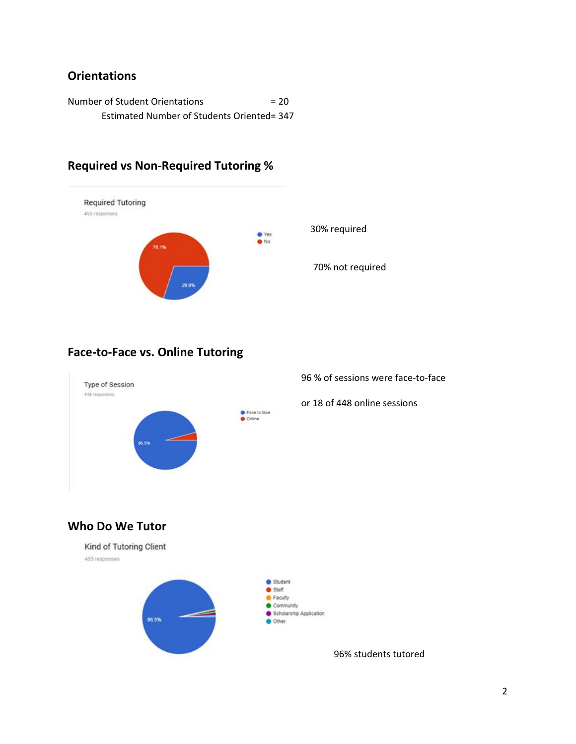### **Orientations**

Number of Student Orientations = 20 Estimated Number of Students Oriented= 347

## **Required vs Non-Required Tutoring %**



30% required

70% not required

## **Face-to-Face vs. Online Tutoring**



96 % of sessions were face-to-face

or 18 of 448 online sessions

## **Who Do We Tutor**



2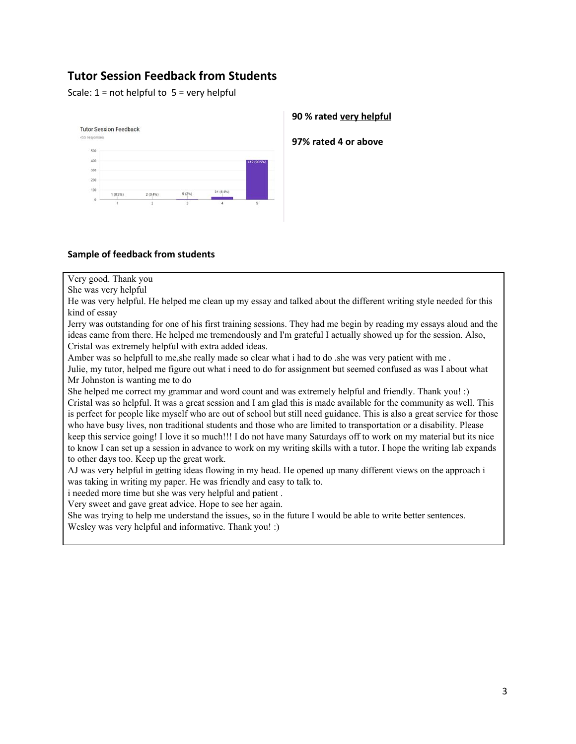### **Tutor Session Feedback from Students**

Scale:  $1 = not helpful to 5 = very helpful$ 



#### **90 % rated very helpful**

**97% rated 4 or above**

#### **Sample of feedback from students**

Very good. Thank you

She was very helpful

He was very helpful. He helped me clean up my essay and talked about the different writing style needed for this kind of essay

Jerry was outstanding for one of his first training sessions. They had me begin by reading my essays aloud and the ideas came from there. He helped me tremendously and I'm grateful I actually showed up for the session. Also, Cristal was extremely helpful with extra added ideas.

Amber was so helpfull to me,she really made so clear what i had to do .she was very patient with me .

Julie, my tutor, helped me figure out what i need to do for assignment but seemed confused as was I about what Mr Johnston is wanting me to do

She helped me correct my grammar and word count and was extremely helpful and friendly. Thank you! :) Cristal was so helpful. It was a great session and I am glad this is made available for the community as well. This is perfect for people like myself who are out of school but still need guidance. This is also a great service for those who have busy lives, non traditional students and those who are limited to transportation or a disability. Please keep this service going! I love it so much!!! I do not have many Saturdays off to work on my material but its nice to know I can set up a session in advance to work on my writing skills with a tutor. I hope the writing lab expands to other days too. Keep up the great work.

AJ was very helpful in getting ideas flowing in my head. He opened up many different views on the approach i was taking in writing my paper. He was friendly and easy to talk to.

i needed more time but she was very helpful and patient .

Very sweet and gave great advice. Hope to see her again.

She was trying to help me understand the issues, so in the future I would be able to write better sentences.

Wesley was very helpful and informative. Thank you! :)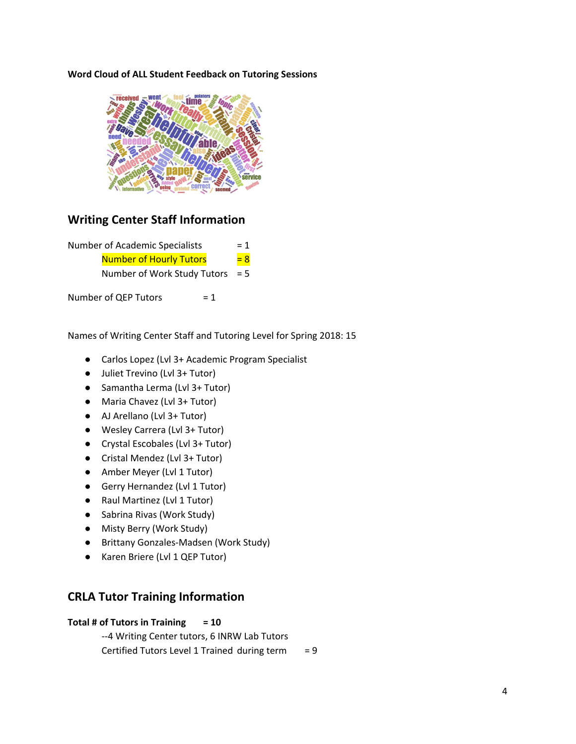#### **Word Cloud of ALL Student Feedback on Tutoring Sessions**



### **Writing Center Staff Information**

| Number of Academic Specialists |                                |       |       |
|--------------------------------|--------------------------------|-------|-------|
|                                | <b>Number of Hourly Tutors</b> |       | $= 8$ |
| Number of Work Study Tutors    |                                |       | $= 5$ |
|                                | Number of QEP Tutors           | $= 1$ |       |

Names of Writing Center Staff and Tutoring Level for Spring 2018: 15

- Carlos Lopez (Lvl 3+ Academic Program Specialist
- Juliet Trevino (Lvl 3+ Tutor)
- Samantha Lerma (Lvl 3+ Tutor)
- Maria Chavez (Lvl 3+ Tutor)
- AJ Arellano (Lvl 3+ Tutor)
- Wesley Carrera (Lvl 3+ Tutor)
- Crystal Escobales (Lvl 3+ Tutor)
- Cristal Mendez (Lvl 3+ Tutor)
- Amber Meyer (Lvl 1 Tutor)
- Gerry Hernandez (Lvl 1 Tutor)
- Raul Martinez (Lvl 1 Tutor)
- Sabrina Rivas (Work Study)
- Misty Berry (Work Study)
- Brittany Gonzales-Madsen (Work Study)
- Karen Briere (Lvl 1 QEP Tutor)

#### **CRLA Tutor Training Information**

#### **Total # of Tutors in Training = 10**

--4 Writing Center tutors, 6 INRW Lab Tutors Certified Tutors Level 1 Trained during term  $= 9$